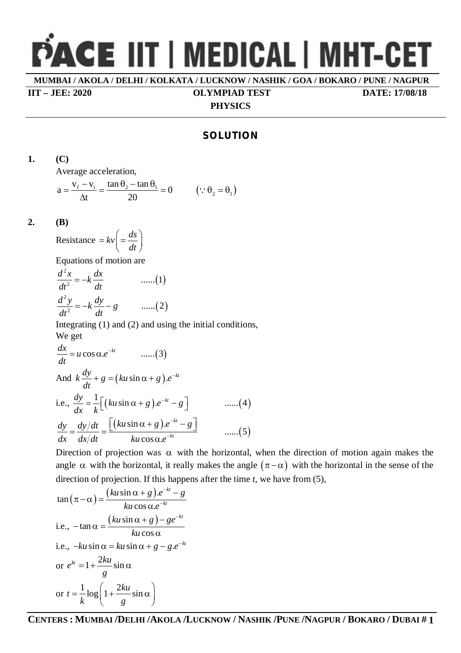# **PACE IIT | MEDICAL | MHT-CET**

**MUMBAI / AKOLA / DELHI / KOLKATA / LUCKNOW / NASHIK / GOA / BOKARO / PUNE / NAGPUR**

**IIT – JEE: 2020 OLYMPIAD TEST DATE: 17/08/18**

#### **PHYSICS**

# **SOLUTION**

**1. (C)**

Average acceleration,

$$
a = \frac{v_f - v_i}{\Delta t} = \frac{\tan \theta_2 - \tan \theta_1}{20} = 0 \qquad (\because \theta_2 = \theta_1)
$$

#### **2. (B)**

$$
Resistance = kv \left( = \frac{ds}{dt} \right)
$$

Equations of motion are

$$
\frac{d^2x}{dt^2} = -k\frac{dx}{dt}
$$
 ......(1)  

$$
\frac{d^2y}{dt^2} = -k\frac{dy}{dt} - g
$$
 ......(2)

Integrating (1) and (2) and using the initial conditions, We get

$$
\frac{dx}{dt} = u \cos \alpha \cdot e^{-kt} \qquad \dots (3)
$$
  
And  $k \frac{dy}{dt} + g = (ku \sin \alpha + g) \cdot e^{-kt}$   
i.e.,  $\frac{dy}{dx} = \frac{1}{k} \Big[ (ku \sin \alpha + g) \cdot e^{-kt} - g \Big] \qquad \dots (4)$   

$$
\frac{dy}{dx} = \frac{dy/dt}{dx/dt} = \frac{\Big[ (ku \sin \alpha + g) \cdot e^{-kt} - g \Big]}{ku \cos \alpha \cdot e^{-kt}} \qquad \dots (5)
$$

Direction of projection was  $\alpha$  with the horizontal, when the direction of motion again makes the angle  $\alpha$  with the horizontal, it really makes the angle  $(\pi - \alpha)$  with the horizontal in the sense of the direction of projection. If this happens after the time *t*, we have from (5),

$$
\tan(\pi - \alpha) = \frac{(ku \sin \alpha + g)e^{-kt} - g}{ku \cos \alpha e^{-kt}}
$$
  
i.e.,  $-\tan \alpha = \frac{(ku \sin \alpha + g) - ge^{-kt}}{ku \cos \alpha}$   
i.e.,  $-ku \sin \alpha = ku \sin \alpha + g - g.e^{-kt}$   
or  $e^{kt} = 1 + \frac{2ku}{g} \sin \alpha$   
or  $t = \frac{1}{k} \log \left(1 + \frac{2ku}{g} \sin \alpha\right)$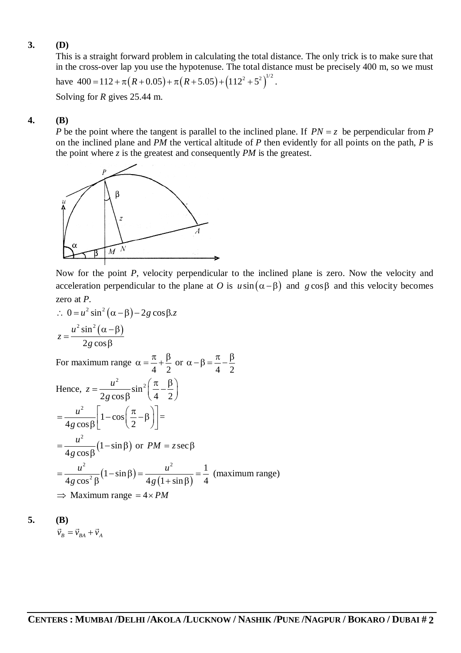# **3. (D)**

This is a straight forward problem in calculating the total distance. The only trick is to make sure that in the cross-over lap you use the hypotenuse. The total distance must be precisely 400 m, so we must

have 
$$
400 = 112 + \pi (R + 0.05) + \pi (R + 5.05) + (112^2 + 5^2)^{1/2}
$$
.

Solving for *R* gives 25.44 m.

# **4. (B)**

*P* be the point where the tangent is parallel to the inclined plane. If  $PN = z$  be perpendicular from *P* on the inclined plane and *PM* the vertical altitude of *P* then evidently for all points on the path, *P* is the point where *z* is the greatest and consequently *PM* is the greatest.



Now for the point *P*, velocity perpendicular to the inclined plane is zero. Now the velocity and acceleration perpendicular to the plane at *O* is  $u \sin(\alpha - \beta)$  and  $g \cos \beta$  and this velocity becomes zero at *P*.

$$
\therefore 0 = u^2 \sin^2 (\alpha - \beta) - 2g \cos \beta z
$$

$$
z = \frac{u^2 \sin^2 (\alpha - \beta)}{2 \cdot 2 \cdot 2}
$$

 $2g\cos\beta$ For maximum range 4 2  $\alpha = \frac{\pi}{4} + \frac{\beta}{2}$  or 4 2  $\alpha - \beta = \frac{\pi}{4} - \frac{\beta}{2}$ 

Hence, 
$$
z = \frac{u^2}{2g \cos \beta} \sin^2 \left(\frac{\pi}{4} - \frac{\beta}{2}\right)
$$
  
\n
$$
= \frac{u^2}{4g \cos \beta} \left[1 - \cos \left(\frac{\pi}{2} - \beta\right)\right] =
$$
\n
$$
= \frac{u^2}{4g \cos \beta} (1 - \sin \beta) \text{ or } PM = z \sec \beta
$$
\n
$$
= \frac{u^2}{4g \cos^2 \beta} (1 - \sin \beta) = \frac{u^2}{4g(1 + \sin \beta)} = \frac{1}{4} \text{ (maximum range)}
$$
\n
$$
\Rightarrow \text{Maximum range} = 4 \times PM
$$

$$
\mathbf{5.} \qquad \qquad (\mathbf{B})
$$

$$
\vec{v}_B = \vec{v}_{BA} + \vec{v}_A
$$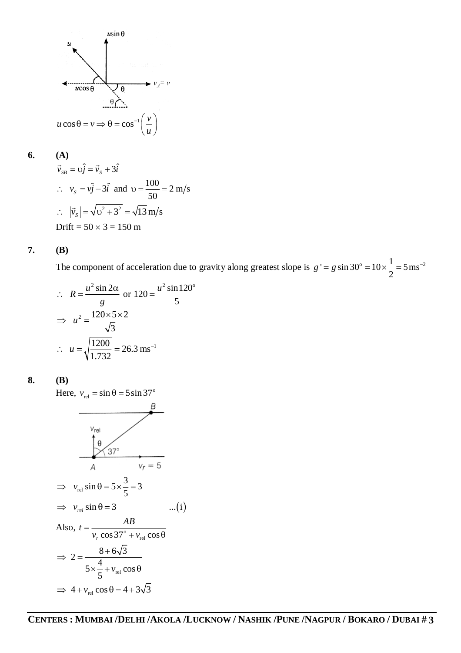

$$
6.
$$

**6. (A)**

$$
\vec{v}_{SB} = v\hat{j} = \vec{v}_s + 3\hat{i}
$$
  
\n
$$
\therefore v_S = v\hat{j} - 3\hat{i} \text{ and } v = \frac{100}{50} = 2 \text{ m/s}
$$
  
\n
$$
\therefore |\vec{v}_s| = \sqrt{v^2 + 3^2} = \sqrt{13} \text{ m/s}
$$
  
\nDrift = 50 × 3 = 150 m

#### **7. (B)**

The component of acceleration due to gravity along greatest slope is  $g' = g \sin 30^\circ = 10 \times \frac{1}{2} = 5 \text{ ms}^{-2}$ 2  $g' = g \sin 30^\circ = 10 \times \frac{1}{2} = 5 \,\text{ms}^{-1}$ 

$$
\therefore R = \frac{u^2 \sin 2\alpha}{g} \text{ or } 120 = \frac{u^2 \sin 120^\circ}{5}
$$

$$
\Rightarrow u^2 = \frac{120 \times 5 \times 2}{\sqrt{3}}
$$

$$
\therefore u = \sqrt{\frac{1200}{1.732}} = 26.3 \text{ ms}^{-1}
$$

### **8. (B)**

Here,  $v_{rel} = \sin \theta = 5 \sin 37^\circ$ 

$$
v_{rel}
$$
\n
$$
\frac{\theta}{\theta}
$$
\n
$$
v_{rel} \sin \theta = 5 \times \frac{3}{5} = 3
$$
\n
$$
\Rightarrow v_{rel} \sin \theta = 3 \qquad ...(i)
$$
\nAlso,  $t = \frac{AB}{v_r \cos 37^\circ + v_{rel} \cos \theta}$ \n
$$
\Rightarrow 2 = \frac{8 + 6\sqrt{3}}{5 \times \frac{4}{5} + v_{rel} \cos \theta}
$$
\n
$$
\Rightarrow 4 + v_{rel} \cos \theta = 4 + 3\sqrt{3}
$$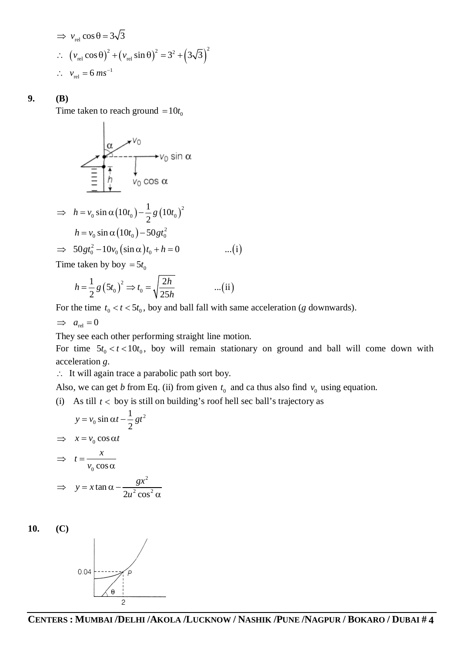$$
\Rightarrow v_{\text{rel}} \cos \theta = 3\sqrt{3}
$$
  
\n
$$
\therefore (v_{\text{rel}} \cos \theta)^2 + (v_{\text{rel}} \sin \theta)^2 = 3^2 + (3\sqrt{3})^2
$$
  
\n
$$
\therefore v_{\text{rel}} = 6 \text{ ms}^{-1}
$$

#### **9. (B)**

Time taken to reach ground  $= 10t_0$ 

 $\mathbf{I}$ 

$$
\begin{array}{r}\n\alpha \\
\hline\n\end{array}\n\qquad\n\begin{array}{r}\n\gamma\n\end{array}\n\qquad\n\begin{array}{r}\n\gamma\n\end{array}\n\qquad\n\begin{array}{r}\n\gamma\n\end{array}\n\qquad\n\begin{array}{r}\n\gamma\n\end{array}\n\qquad\n\begin{array}{r}\n\gamma\n\end{array}\n\qquad\n\begin{array}{r}\n\gamma\n\end{array}\n\qquad\n\begin{array}{r}\n\gamma\n\end{array}\n\qquad\n\begin{array}{r}\n\gamma\n\end{array}\n\qquad\n\begin{array}{r}\n\gamma\n\end{array}\n\qquad\n\begin{array}{r}\n\gamma\n\end{array}\n\qquad\n\begin{array}{r}\n\gamma\n\end{array}\n\qquad\n\begin{array}{r}\n\gamma\n\end{array}\n\qquad\n\begin{array}{r}\n\gamma\n\end{array}\n\qquad\n\begin{array}{r}\n\gamma\n\end{array}\n\qquad\n\begin{array}{r}\n\gamma\n\end{array}\n\qquad\n\begin{array}{r}\n\gamma\n\end{array}\n\qquad\n\begin{array}{r}\n\gamma\n\end{array}\n\qquad\n\begin{array}{r}\n\gamma\n\end{array}\n\qquad\n\begin{array}{r}\n\gamma\n\end{array}\n\qquad\n\begin{array}{r}\n\gamma\n\end{array}\n\qquad\n\begin{array}{r}\n\gamma\n\end{array}\n\qquad\n\begin{array}{r}\n\gamma\n\end{array}\n\qquad\n\begin{array}{r}\n\gamma\n\end{array}\n\qquad\n\begin{array}{r}\n\gamma\n\end{array}\n\qquad\n\begin{array}{r}\n\gamma\n\end{array}\n\qquad\n\begin{array}{r}\n\gamma\n\end{array}\n\qquad\n\begin{array}{r}\n\gamma\n\end{array}\n\qquad\n\begin{array}{r}\n\gamma\n\end{array}\n\qquad\n\begin{array}{r}\n\gamma\n\end{array}\n\qquad\n\begin{array}{r}\n\gamma\n\end{array}\n\qquad\n\begin{array}{r}\n\gamma\n\end{array}\n\qquad\n\begin{array}{r}\n\gamma\n\end{array}\n\qquad\n\begin{array}{r}\n\gamma\n\end{array}\n\qquad\n\begin{array}{r}\n\gamma\n\end{array}\n\qquad\n\begin{array}{r}\n\gamma\n\end{array}\n\qquad
$$

$$
\Rightarrow h = v_0 \sin \alpha (10t_0) - \frac{1}{2} g (10t_0)^2
$$
  
\n
$$
h = v_0 \sin \alpha (10t_0) - 50 g t_0^2
$$
  
\n
$$
\Rightarrow 50 g t_0^2 - 10 v_0 (\sin \alpha) t_0 + h = 0
$$
...(i)

Time taken by boy  $= 5t_0$ 

$$
h = \frac{1}{2} g \left( 5t_0 \right)^2 \Rightarrow t_0 = \sqrt{\frac{2h}{25h}} \qquad \qquad \dots \text{(ii)}
$$

For the time  $t_0 < t < 5t_0$ , boy and ball fall with same acceleration (*g* downwards).

$$
\implies a_{\text{rel}} = 0
$$

They see each other performing straight line motion.

For time  $5t_0 < t < 10t_0$ , boy will remain stationary on ground and ball will come down with acceleration *g*.

It will again trace a parabolic path sort boy.

Also, we can get *b* from Eq. (ii) from given  $t_0$  and ca thus also find  $v_0$  using equation.

(i) As till  $t <$  boy is still on building's roof hell sec ball's trajectory as

$$
y = v_0 \sin \alpha t - \frac{1}{2}gt^2
$$
  
\n
$$
\Rightarrow x = v_0 \cos \alpha t
$$
  
\n
$$
\Rightarrow t = \frac{x}{v_0 \cos \alpha}
$$
  
\n
$$
\Rightarrow y = x \tan \alpha - \frac{gx^2}{2u^2 \cos^2 \alpha}
$$

**10. (C)**

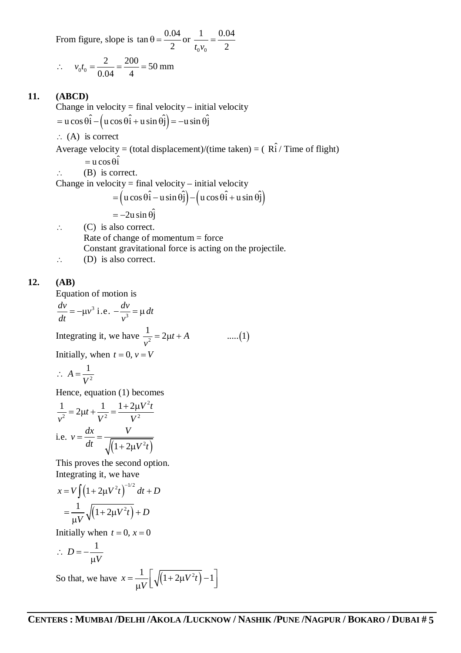From figure, slope is  $\tan \theta = \frac{0.04}{2}$ 2  $\theta = \frac{0.64}{2}$  or  $0\ ^{\nu}0$ 1 0.04  $t_0 v_0$  2  $=$ 

$$
\therefore v_0 t_0 = \frac{2}{0.04} = \frac{200}{4} = 50 \text{ mm}
$$

## **11. (ABCD)**

Change in velocity = final velocity – initial velocity  $=$  u cos  $\hat{\theta}$   $\hat{\theta}$   $(u \cos \theta \hat{\theta} + u \sin \theta \hat{\theta}) = -u \sin \theta \hat{\theta}$  $\therefore$  (A) is correct Average velocity = (total displacement)/(time taken) = ( $\hat{R_i}$ ) Time of flight)  $= u \cos \theta \hat{i}$  $\therefore$  (B) is correct. Change in velocity = final velocity – initial velocity  $=$   $(u \cos \theta \hat{i} - u \sin \theta \hat{j}) - (u \cos \theta \hat{i} + u \sin \theta \hat{j})$  $=-2u \sin \theta \hat{i}$  $\therefore$  (C) is also correct. Rate of change of momentum = force Constant gravitational force is acting on the projectile.

 $\therefore$  (D) is also correct.

# **12. (AB)**

Equation of motion is

$$
\frac{dv}{dt} = -\mu v^3 \text{ i.e. } -\frac{dv}{v^3} = \mu dt
$$
  
Integrating it, we have  $\frac{1}{v^2} = 2\mu t + A$  ....(1)  
Initially, when  $t = 0$ ,  $v = V$   
 $\therefore A = \frac{1}{V^2}$ 

Hence, equation (1) becomes

$$
\frac{1}{v^2} = 2\mu t + \frac{1}{V^2} = \frac{1 + 2\mu V^2 t}{V^2}
$$
  
i.e.  $v = \frac{dx}{dt} = \frac{V}{\sqrt{(1 + 2\mu V^2 t)}}$ 

This proves the second option. Integrating it, we have

$$
x = V \int (1 + 2\mu V^2 t)^{-1/2} dt + D
$$
  
=  $\frac{1}{\mu V} \sqrt{(1 + 2\mu V^2 t)} + D$ 

Initially when  $t = 0$ ,  $x = 0$ 

$$
\therefore D = -\frac{1}{\mu V}
$$

So that, we have  $x = \frac{1}{2\pi\sqrt{1 + 2\mu V^2 t}} - 1$ *V*  $=\frac{1}{\pi} \left| \sqrt{(1+2\mu V^2 t)} - 1 \right|$  $\overline{\mu V}$   $\lfloor \sqrt{(1+2\mu V_l)^{-1}} \rfloor$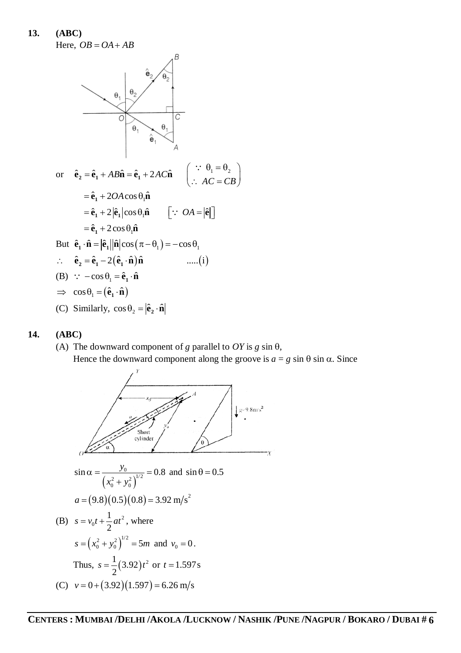**13. (ABC)** Here,  $OB = OA + AB$ 



#### **14. (ABC)**

(A) The downward component of *g* parallel to  $OY$  is *g* sin  $\theta$ , Hence the downward component along the groove is  $a = g \sin \theta \sin \alpha$ . Since

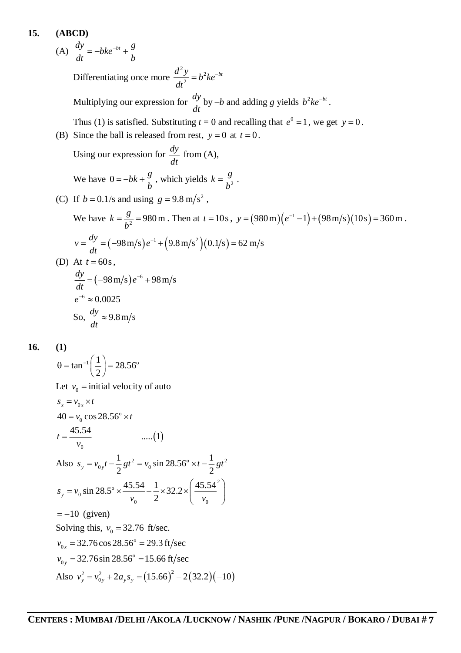15. **(ABCD)**  
\n(A) 
$$
\frac{dy}{dt} = -bke^{-bt} + \frac{g}{b}
$$
  
\nDifferentiating once more  $\frac{d^2y}{dt^2} = b^2ke^{-bt}$   
\nMultiplying our expression for  $\frac{dy}{dt}$  by  $-b$  and adding *g* yields  $b^2ke^{-bt}$ .  
\nThus (1) is satisfied. Substituting  $t = 0$  and recalling that  $e^0 = 1$ , we get  $y = 0$ .  
\n(B) Since the ball is released from rest,  $y = 0$  at  $t = 0$ .  
\nUsing our expression for  $\frac{dy}{dt}$  from (A),  
\nWe have  $0 = -bk + \frac{g}{b}$ , which yields  $k = \frac{g}{b^2}$ .  
\n(C) If  $b = 0.1/s$  and using  $g = 9.8$  m/s<sup>2</sup>,  
\nWe have  $k = \frac{g}{b^2} = 980$  m. Then at  $t = 10s$ ,  $y = (980$  m) $(e^{-1} - 1) + (98$  m/s)(10s) = 360 m.  
\n $v = \frac{dy}{dt} = (-98$  m/s) $e^{-t} + (9.8$  m/s<sup>2</sup>) $(0.1/s) = 62$  m/s  
\n(D) At  $t = 60s$ ,  
\n $\frac{dy}{dt} = (-98$  m/s) $e^{-6} + 98$  m/s  
\n $e^{-6} \approx 0.0025$   
\nSo,  $\frac{dy}{dt} \approx 9.8$  m/s

**16. (1)**

$$
\theta = \tan^{-1}\left(\frac{1}{2}\right) = 28.56^{\circ}
$$
  
\nLet  $v_0$  = initial velocity of auto  
\n $s_x = v_{0x} \times t$   
\n $40 = v_0 \cos 28.56^{\circ} \times t$   
\n $t = \frac{45.54}{v_0}$  .....(1)  
\nAlso  $s_y = v_{0y}t - \frac{1}{2}gt^2 = v_0 \sin 28.56^{\circ} \times t - \frac{1}{2}gt^2$   
\n $s_y = v_0 \sin 28.5^{\circ} \times \frac{45.54}{v_0} - \frac{1}{2} \times 32.2 \times \left(\frac{45.54^2}{v_0}\right)$   
\n= -10 (given)  
\nSolving this,  $v_0 = 32.76$  ft/sec.  
\n $v_{0x} = 32.76 \cos 28.56^{\circ} = 29.3$  ft/sec  
\n $v_{0y} = 32.76 \sin 28.56^{\circ} = 15.66$  ft/sec  
\nAlso  $v_y^2 = v_{0y}^2 + 2a_y s_y = (15.66)^2 - 2(32.2)(-10)$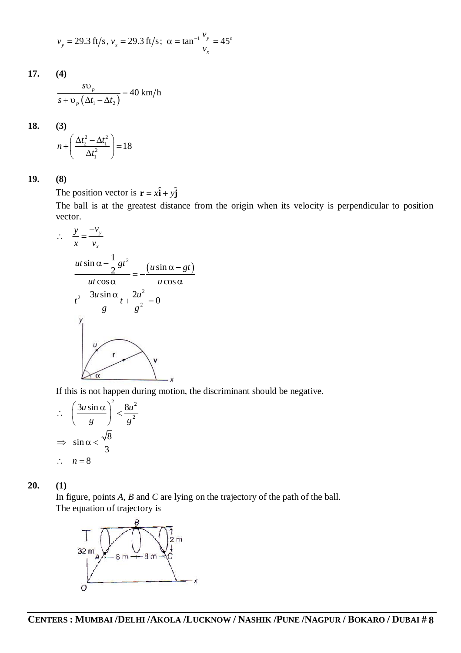$$
v_y = 29.3
$$
 ft/s,  $v_x = 29.3$  ft/s;  $\alpha = \tan^{-1} \frac{v_y}{v_x} = 45^\circ$ 

**17. (4)**  $(\Delta t_1 - \Delta t_2)$  $\frac{p}{\sqrt{p}} = 40 \text{ km/h}$ *p s*  $s + v_n (\Delta t_1 - \Delta t_2)$  $\cup$  $=$  $+v_{n}\left(\Delta t_{1}-\Delta t_{2}\right)$ 

**18. (3)**

$$
n + \left(\frac{\Delta t_2^2 - \Delta t_1^2}{\Delta t_1^2}\right) = 18
$$

**19. (8)**

The position vector is  $\mathbf{r} = x\hat{\mathbf{i}} + y\hat{\mathbf{j}}$ 

The ball is at the greatest distance from the origin when its velocity is perpendicular to position vector.

$$
\therefore \frac{y}{x} = \frac{-v_y}{v_x}
$$
\n
$$
\frac{ut \sin \alpha - \frac{1}{2}gt^2}{ut \cos \alpha} = -\frac{(u \sin \alpha - gt)}{u \cos \alpha}
$$
\n
$$
t^2 - \frac{3u \sin \alpha}{g}t + \frac{2u^2}{g^2} = 0
$$
\n
$$
y = \frac{v_y}{\alpha}
$$

If this is not happen during motion, the discriminant should be negative.

$$
\therefore \quad \left(\frac{3u\sin\alpha}{g}\right)^2 < \frac{8u^2}{g^2}
$$
\n
$$
\Rightarrow \quad \sin\alpha < \frac{\sqrt{8}}{3}
$$
\n
$$
\therefore \quad n = 8
$$

**20. (1)**

In figure, points *A*, *B* and *C* are lying on the trajectory of the path of the ball. The equation of trajectory is